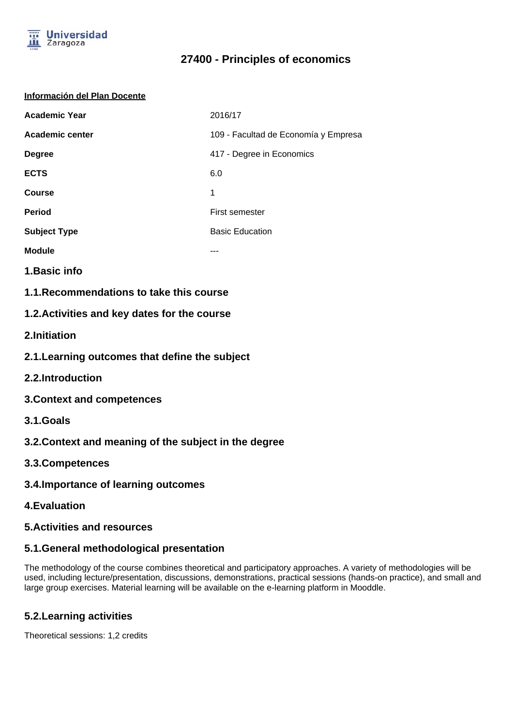

# **27400 - Principles of economics**

#### **Información del Plan Docente**

| <b>Academic Year</b>   | 2016/17                              |
|------------------------|--------------------------------------|
| <b>Academic center</b> | 109 - Facultad de Economía y Empresa |
| <b>Degree</b>          | 417 - Degree in Economics            |
| <b>ECTS</b>            | 6.0                                  |
| <b>Course</b>          | 1                                    |
| <b>Period</b>          | First semester                       |
| <b>Subject Type</b>    | <b>Basic Education</b>               |
| <b>Module</b>          |                                      |

- **1.Basic info**
- **1.1.Recommendations to take this course**

#### **1.2.Activities and key dates for the course**

- **2.Initiation**
- **2.1.Learning outcomes that define the subject**
- **2.2.Introduction**
- **3.Context and competences**
- **3.1.Goals**
- **3.2.Context and meaning of the subject in the degree**
- **3.3.Competences**
- **3.4.Importance of learning outcomes**
- **4.Evaluation**
- **5.Activities and resources**

## **5.1.General methodological presentation**

The methodology of the course combines theoretical and participatory approaches. A variety of methodologies will be used, including lecture/presentation, discussions, demonstrations, practical sessions (hands-on practice), and small and large group exercises. Material learning will be available on the e-learning platform in Mooddle.

## **5.2.Learning activities**

Theoretical sessions: 1,2 credits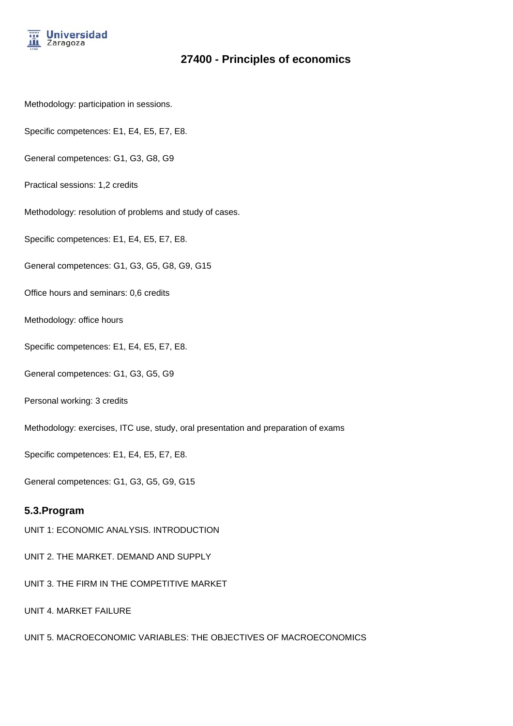

# **27400 - Principles of economics**

- Methodology: participation in sessions.
- Specific competences: E1, E4, E5, E7, E8.
- General competences: G1, G3, G8, G9
- Practical sessions: 1,2 credits
- Methodology: resolution of problems and study of cases.
- Specific competences: E1, E4, E5, E7, E8.
- General competences: G1, G3, G5, G8, G9, G15
- Office hours and seminars: 0,6 credits
- Methodology: office hours
- Specific competences: E1, E4, E5, E7, E8.
- General competences: G1, G3, G5, G9
- Personal working: 3 credits
- Methodology: exercises, ITC use, study, oral presentation and preparation of exams
- Specific competences: E1, E4, E5, E7, E8.
- General competences: G1, G3, G5, G9, G15

#### **5.3.Program**

- UNIT 1: ECONOMIC ANALYSIS. INTRODUCTION
- UNIT 2. THE MARKET. DEMAND AND SUPPLY
- UNIT 3. THE FIRM IN THE COMPETITIVE MARKET
- UNIT 4. MARKET FAILURE
- UNIT 5. MACROECONOMIC VARIABLES: THE OBJECTIVES OF MACROECONOMICS